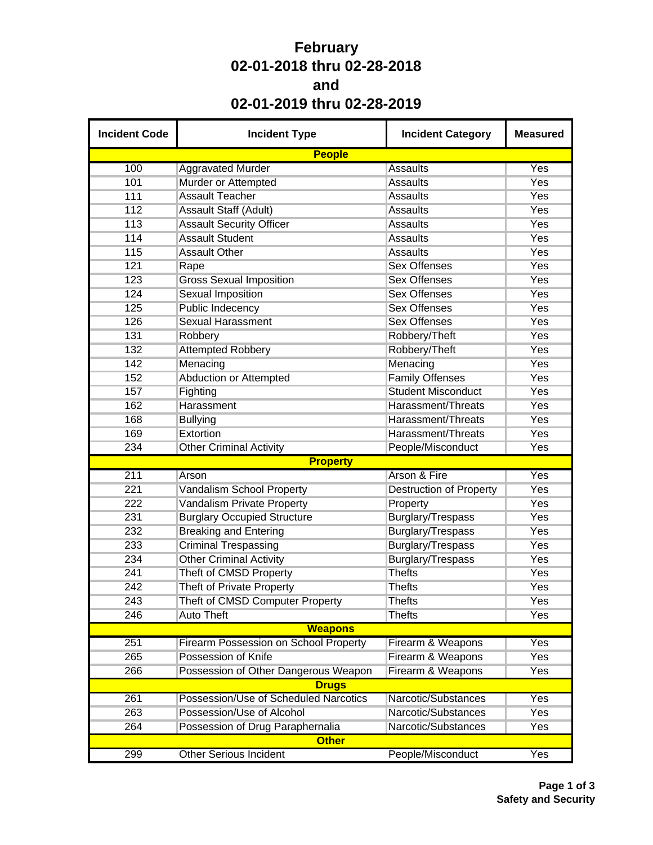## **February 02-01-2018 thru 02-28-2018 and 02-01-2019 thru 02-28-2019**

| <b>Incident Code</b> | <b>Incident Type</b>                         | <b>Incident Category</b>       | <b>Measured</b> |
|----------------------|----------------------------------------------|--------------------------------|-----------------|
|                      | <b>People</b>                                |                                |                 |
| 100                  | <b>Aggravated Murder</b>                     | <b>Assaults</b>                | Yes             |
| 101                  | Murder or Attempted                          | <b>Assaults</b>                | Yes             |
| 111                  | <b>Assault Teacher</b>                       | <b>Assaults</b>                | Yes             |
| 112                  | Assault Staff (Adult)                        | <b>Assaults</b>                | Yes             |
| 113                  | <b>Assault Security Officer</b>              | <b>Assaults</b>                | Yes             |
| 114                  | <b>Assault Student</b>                       | <b>Assaults</b>                | Yes             |
| 115                  | <b>Assault Other</b>                         | <b>Assaults</b>                | Yes             |
| 121                  | Rape                                         | <b>Sex Offenses</b>            | Yes             |
| 123                  | <b>Gross Sexual Imposition</b>               | <b>Sex Offenses</b>            | Yes             |
| 124                  | <b>Sexual Imposition</b>                     | <b>Sex Offenses</b>            | Yes             |
| 125                  | <b>Public Indecency</b>                      | <b>Sex Offenses</b>            | Yes             |
| 126                  | <b>Sexual Harassment</b>                     | <b>Sex Offenses</b>            | Yes             |
| 131                  | Robbery                                      | Robbery/Theft                  | Yes             |
| 132                  | <b>Attempted Robbery</b>                     | Robbery/Theft                  | Yes             |
| 142                  | Menacing                                     | Menacing                       | Yes             |
| 152                  | <b>Abduction or Attempted</b>                | <b>Family Offenses</b>         | Yes             |
| 157                  | Fighting                                     | <b>Student Misconduct</b>      | Yes             |
| 162                  | Harassment                                   | Harassment/Threats             | Yes             |
| 168                  | <b>Bullying</b>                              | Harassment/Threats             | Yes             |
| 169                  | Extortion                                    | Harassment/Threats             | Yes             |
| 234                  | <b>Other Criminal Activity</b>               | People/Misconduct              | Yes             |
|                      | <b>Property</b>                              |                                |                 |
| 211                  | Arson                                        | Arson & Fire                   | Yes             |
| 221                  | <b>Vandalism School Property</b>             | <b>Destruction of Property</b> | Yes             |
| 222                  | Vandalism Private Property                   | Property                       | Yes             |
| 231                  | <b>Burglary Occupied Structure</b>           | Burglary/Trespass              | Yes             |
| 232                  | <b>Breaking and Entering</b>                 | Burglary/Trespass              | Yes             |
| 233                  | <b>Criminal Trespassing</b>                  | Burglary/Trespass              | Yes             |
| 234                  | <b>Other Criminal Activity</b>               | Burglary/Trespass              | Yes             |
| 241                  | Theft of CMSD Property                       | <b>Thefts</b>                  | Yes             |
| 242                  | <b>Theft of Private Property</b>             | <b>Thefts</b>                  | Yes             |
| 243                  | Theft of CMSD Computer Property              | <b>Thefts</b>                  | Yes             |
| 246                  | <b>Auto Theft</b>                            | <b>Thefts</b>                  | Yes             |
|                      | <b>Weapons</b>                               |                                |                 |
| 251                  | <b>Firearm Possession on School Property</b> | Firearm & Weapons              | Yes             |
| 265                  | Possession of Knife                          | Firearm & Weapons              | Yes             |
| 266                  | Possession of Other Dangerous Weapon         | Firearm & Weapons              | Yes             |
|                      | <b>Drugs</b>                                 |                                |                 |
| 261                  | Possession/Use of Scheduled Narcotics        | Narcotic/Substances            | Yes             |
| 263                  | Possession/Use of Alcohol                    | Narcotic/Substances            | Yes             |
| 264                  | Possession of Drug Paraphernalia             | Narcotic/Substances            | Yes             |
|                      | <b>Other</b>                                 |                                |                 |
| 299                  | <b>Other Serious Incident</b>                | People/Misconduct              | Yes             |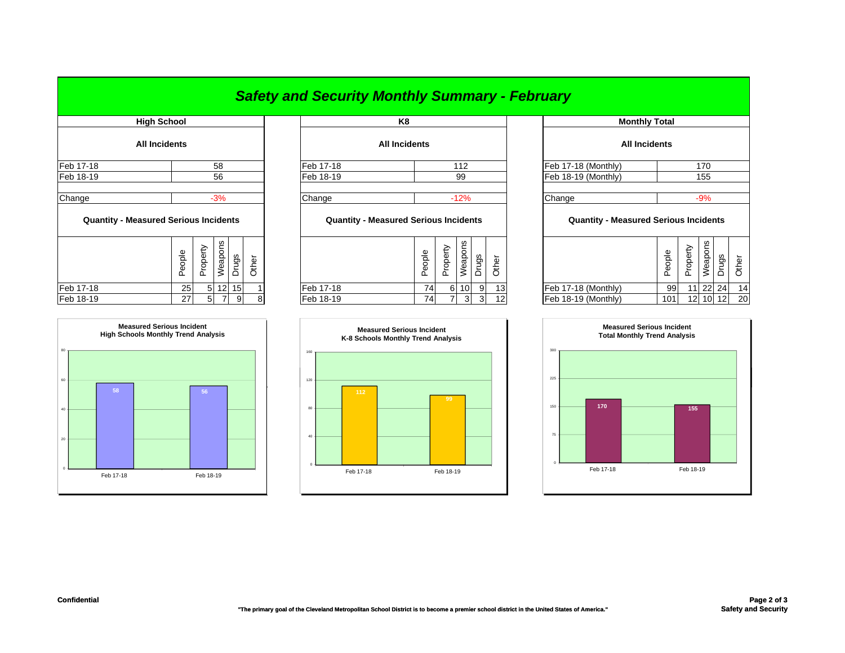## *Safety and Security Monthly Summary - February*

| <b>High School</b>                           |        | K <sub>8</sub> |                 |                 |       |                                              |                      |        |          |                 |                  |       |         |
|----------------------------------------------|--------|----------------|-----------------|-----------------|-------|----------------------------------------------|----------------------|--------|----------|-----------------|------------------|-------|---------|
| <b>All Incidents</b>                         |        |                |                 |                 |       |                                              | <b>All Incidents</b> |        |          |                 |                  |       |         |
| Feb 17-18                                    |        |                | 58              |                 |       | Feb 17-18                                    |                      |        |          | 112             |                  |       | Feb 17- |
| Feb 18-19                                    |        |                | 56              |                 |       | Feb 18-19                                    |                      |        |          | 99              |                  |       | Feb 18- |
| Change                                       |        |                | $-3%$           |                 |       | Change                                       |                      |        |          | $-12%$          |                  |       | Change  |
| <b>Quantity - Measured Serious Incidents</b> |        |                |                 |                 |       | <b>Quantity - Measured Serious Incidents</b> |                      |        |          |                 |                  |       | Q       |
|                                              | People | Property       | Weapons         | Drugs           | Other |                                              |                      | People | Property |                 | Weapons<br>Drugs | Other |         |
| Feb 17-18                                    | 25     | 5 <sup>1</sup> | 12 <sub>l</sub> | 15 <sub>l</sub> |       | Feb 17-18                                    |                      | 74     | 6        | 10 <sup>1</sup> | 9                | 13    | Feb 17- |



|           | High School          |                  | K8                   | <b>Monthly Total</b> |  |
|-----------|----------------------|------------------|----------------------|----------------------|--|
|           | <b>All Incidents</b> |                  | <b>All Incidents</b> | <b>All Incidents</b> |  |
| Feb 17-18 | 58                   | <b>Feb 17-18</b> | 112                  | Feb 17-18 (Monthly)  |  |
| Feb 18-19 | 56                   | Feb 18-19        | 99                   | Feb 18-19 (Monthly)  |  |
| Channe    | $-30/2$              | Change           | $-1206$              | <b>Change</b>        |  |

## **Quantity - Measured Serious Incidents Quantity - Measured Serious Incidents Quantity - Measured Serious Incidents**

| ပ္က<br>Φ<br>≂<br>ധ<br>ಹೆ<br>∸<br>ਨ<br>Ф<br>Φ<br>മ | go<br><u>_</u><br>Ф |           | ဖာ<br>∽<br>Φ<br>∽<br>Φ<br>≂<br>ေ<br>w<br>∽<br>Φ<br>௨<br>ರಾ<br>∸<br>O<br>Φ<br>Ф<br>ப<br>ட<br>ட |                     | eople<br>ட | ≏<br>∽<br>Φ<br>႕<br>ட | ၯ<br>န္<br>$\omega$ | წე       |    |
|---------------------------------------------------|---------------------|-----------|-----------------------------------------------------------------------------------------------|---------------------|------------|-----------------------|---------------------|----------|----|
| Feb 17-18<br>25<br>51                             | 12 15               | Feb 17-18 | 13<br>74 <sub>1</sub><br>9<br>10l                                                             | Feb 17-18 (Monthly) | 99         |                       | 22 24               |          | 14 |
| Feb 18-19<br>27 I<br>՟                            | 8<br>ΩI             | Feb 18-19 | 12 <sub>1</sub><br>74<br>$\mathbf{r}$<br>ຈ                                                    | Feb 18-19 (Monthly) | 101        |                       |                     | 12 10 12 | 20 |



|                           | K8                                           |        |                |         |                     |                                              | <b>Monthly Total</b> |        |          |          |                |
|---------------------------|----------------------------------------------|--------|----------------|---------|---------------------|----------------------------------------------|----------------------|--------|----------|----------|----------------|
|                           | <b>All Incidents</b>                         |        |                |         |                     |                                              | <b>All Incidents</b> |        |          |          |                |
| 58                        | Feb 17-18                                    |        |                | 112     |                     |                                              | Feb 17-18 (Monthly)  |        |          | 170      |                |
| 56                        | Feb 18-19                                    | 99     |                |         | Feb 18-19 (Monthly) |                                              |                      | 155    |          |          |                |
| $-3%$                     | Change<br>$-12%$                             |        |                |         | Change              |                                              |                      | $-9%$  |          |          |                |
| cidents                   | <b>Quantity - Measured Serious Incidents</b> |        |                |         |                     | <b>Quantity - Measured Serious Incidents</b> |                      |        |          |          |                |
| Weapons<br>Drugs<br>Other |                                              | People | Property       | Weapons | Drugs               | Other                                        |                      | People | Property | Weapons  | Drugs<br>Other |
| $12$   15                 | Feb 17-18                                    | 74     | 6 <sup>1</sup> | 10      | 9                   | 13                                           | Feb 17-18 (Monthly)  | 99     |          | 11 22 24 | 14             |
| 8<br>9                    | Feb 18-19                                    | 74     | 7 <sub>l</sub> | 3       | 3                   | 12                                           | Feb 18-19 (Monthly)  | 101    | 12       | 10 12    | 20             |